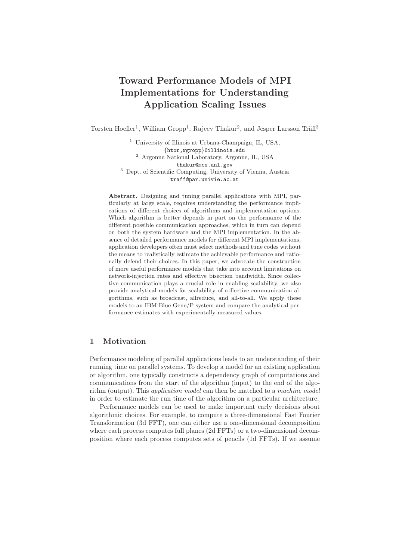# Toward Performance Models of MPI Implementations for Understanding Application Scaling Issues

Torsten Hoefler<sup>1</sup>, William Gropp<sup>1</sup>, Rajeev Thakur<sup>2</sup>, and Jesper Larsson Träff<sup>3</sup>

<sup>1</sup> University of Illinois at Urbana-Champaign, IL, USA, {htor,wgropp}@illinois.edu <sup>2</sup> Argonne National Laboratory, Argonne, IL, USA thakur@mcs.anl.gov <sup>3</sup> Dept. of Scientific Computing, University of Vienna, Austria traff@par.univie.ac.at

Abstract. Designing and tuning parallel applications with MPI, particularly at large scale, requires understanding the performance implications of different choices of algorithms and implementation options. Which algorithm is better depends in part on the performance of the different possible communication approaches, which in turn can depend on both the system hardware and the MPI implementation. In the absence of detailed performance models for different MPI implementations, application developers often must select methods and tune codes without the means to realistically estimate the achievable performance and rationally defend their choices. In this paper, we advocate the construction of more useful performance models that take into account limitations on network-injection rates and effective bisection bandwidth. Since collective communication plays a crucial role in enabling scalability, we also provide analytical models for scalability of collective communication algorithms, such as broadcast, allreduce, and all-to-all. We apply these models to an IBM Blue Gene/P system and compare the analytical performance estimates with experimentally measured values.

## 1 Motivation

Performance modeling of parallel applications leads to an understanding of their running time on parallel systems. To develop a model for an existing application or algorithm, one typically constructs a dependency graph of computations and communications from the start of the algorithm (input) to the end of the algorithm (output). This application model can then be matched to a machine model in order to estimate the run time of the algorithm on a particular architecture.

Performance models can be used to make important early decisions about algorithmic choices. For example, to compute a three-dimensional Fast Fourier Transformation (3d FFT), one can either use a one-dimensional decomposition where each process computes full planes (2d FFTs) or a two-dimensional decomposition where each process computes sets of pencils (1d FFTs). If we assume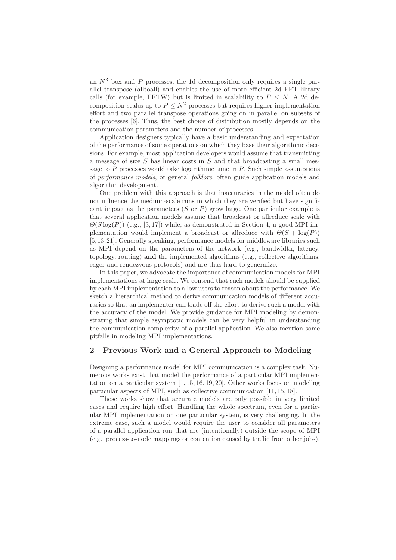an  $N<sup>3</sup>$  box and P processes, the 1d decomposition only requires a single parallel transpose (alltoall) and enables the use of more efficient 2d FFT library calls (for example, FFTW) but is limited in scalability to  $P \leq N$ . A 2d decomposition scales up to  $P \leq N^2$  processes but requires higher implementation effort and two parallel transpose operations going on in parallel on subsets of the processes [6]. Thus, the best choice of distribution mostly depends on the communication parameters and the number of processes.

Application designers typically have a basic understanding and expectation of the performance of some operations on which they base their algorithmic decisions. For example, most application developers would assume that transmitting a message of size  $S$  has linear costs in  $S$  and that broadcasting a small message to  $P$  processes would take logarithmic time in  $P$ . Such simple assumptions of performance models, or general folklore, often guide application models and algorithm development.

One problem with this approach is that inaccuracies in the model often do not influence the medium-scale runs in which they are verified but have significant impact as the parameters  $(S \text{ or } P)$  grow large. One particular example is that several application models assume that broadcast or allreduce scale with  $\Theta(S \log(P))$  (e.g., [3,17]) while, as demonstrated in Section 4, a good MPI implementation would implement a broadcast or allreduce with  $\Theta(S + \log(P))$ [5,13,21]. Generally speaking, performance models for middleware libraries such as MPI depend on the parameters of the network (e.g., bandwidth, latency, topology, routing) and the implemented algorithms (e.g., collective algorithms, eager and rendezvous protocols) and are thus hard to generalize.

In this paper, we advocate the importance of communication models for MPI implementations at large scale. We contend that such models should be supplied by each MPI implementation to allow users to reason about the performance. We sketch a hierarchical method to derive communication models of different accuracies so that an implementer can trade off the effort to derive such a model with the accuracy of the model. We provide guidance for MPI modeling by demonstrating that simple asymptotic models can be very helpful in understanding the communication complexity of a parallel application. We also mention some pitfalls in modeling MPI implementations.

#### 2 Previous Work and a General Approach to Modeling

Designing a performance model for MPI communication is a complex task. Numerous works exist that model the performance of a particular MPI implementation on a particular system [1, 15, 16, 19, 20]. Other works focus on modeling particular aspects of MPI, such as collective communication [11, 15, 18].

Those works show that accurate models are only possible in very limited cases and require high effort. Handling the whole spectrum, even for a particular MPI implementation on one particular system, is very challenging. In the extreme case, such a model would require the user to consider all parameters of a parallel application run that are (intentionally) outside the scope of MPI (e.g., process-to-node mappings or contention caused by traffic from other jobs).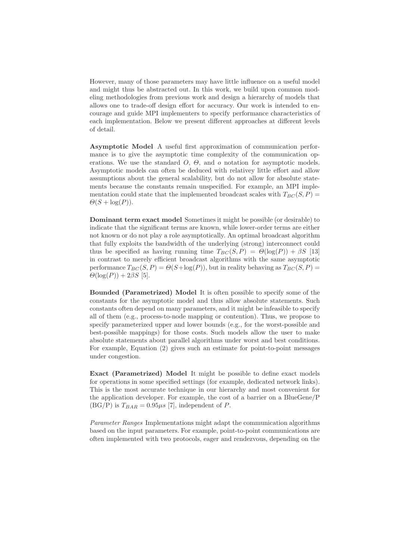However, many of those parameters may have little influence on a useful model and might thus be abstracted out. In this work, we build upon common modeling methodologies from previous work and design a hierarchy of models that allows one to trade-off design effort for accuracy. Our work is intended to encourage and guide MPI implementers to specify performance characteristics of each implementation. Below we present different approaches at different levels of detail.

Asymptotic Model A useful first approximation of communication performance is to give the asymptotic time complexity of the communication operations. We use the standard  $O$ ,  $\Theta$ , and  $\sigma$  notation for asymptotic models. Asymptotic models can often be deduced with relativey little effort and allow assumptions about the general scalability, but do not allow for absolute statements because the constants remain unspecified. For example, an MPI implementation could state that the implemented broadcast scales with  $T_{BC}(S, P) =$  $\Theta(S + \log(P)).$ 

Dominant term exact model Sometimes it might be possible (or desirable) to indicate that the significant terms are known, while lower-order terms are either not known or do not play a role asymptotically. An optimal broadcast algorithm that fully exploits the bandwidth of the underlying (strong) interconnect could thus be specified as having running time  $T_{BC}(S, P) = \Theta(\log(P)) + \beta S$  [13] in contrast to merely efficient broadcast algorithms with the same asymptotic performance  $T_{BC}(S, P) = \Theta(S + \log(P))$ , but in reality behaving as  $T_{BC}(S, P)$  $\Theta(\log(P)) + 2\beta S$  [5].

Bounded (Parametrized) Model It is often possible to specify some of the constants for the asymptotic model and thus allow absolute statements. Such constants often depend on many parameters, and it might be infeasible to specify all of them (e.g., process-to-node mapping or contention). Thus, we propose to specify parameterized upper and lower bounds (e.g., for the worst-possible and best-possible mappings) for those costs. Such models allow the user to make absolute statements about parallel algorithms under worst and best conditions. For example, Equation (2) gives such an estimate for point-to-point messages under congestion.

Exact (Parametrized) Model It might be possible to define exact models for operations in some specified settings (for example, dedicated network links). This is the most accurate technique in our hierarchy and most convenient for the application developer. For example, the cost of a barrier on a BlueGene/P  $(BG/P)$  is  $T_{BAR} = 0.95 \mu s$  [7], independent of P.

Parameter Ranges Implementations might adapt the communication algorithms based on the input parameters. For example, point-to-point communications are often implemented with two protocols, eager and rendezvous, depending on the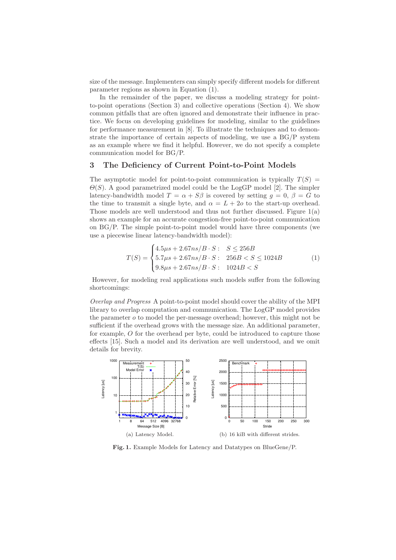size of the message. Implementers can simply specify different models for different parameter regions as shown in Equation (1).

In the remainder of the paper, we discuss a modeling strategy for pointto-point operations (Section 3) and collective operations (Section 4). We show common pitfalls that are often ignored and demonstrate their influence in practice. We focus on developing guidelines for modeling, similar to the guidelines for performance measurement in [8]. To illustrate the techniques and to demonstrate the importance of certain aspects of modeling, we use a BG/P system as an example where we find it helpful. However, we do not specify a complete communication model for BG/P.

### 3 The Deficiency of Current Point-to-Point Models

The asymptotic model for point-to-point communication is typically  $T(S)$  =  $\Theta(S)$ . A good parametrized model could be the LogGP model [2]. The simpler latency-bandwidth model  $T = \alpha + S\beta$  is covered by setting  $q = 0, \beta = G$  to the time to transmit a single byte, and  $\alpha = L + 2\sigma$  to the start-up overhead. Those models are well understood and thus not further discussed. Figure 1(a) shows an example for an accurate congestion-free point-to-point communication on BG/P. The simple point-to-point model would have three components (we use a piecewise linear latency-bandwidth model):

$$
T(S) = \begin{cases} 4.5\mu s + 2.67ns/B \cdot S: & S \le 256B \\ 5.7\mu s + 2.67ns/B \cdot S: & 256B < S \le 1024B \\ 9.8\mu s + 2.67ns/B \cdot S: & 1024B < S \end{cases}
$$
(1)

However, for modeling real applications such models suffer from the following shortcomings:

Overlap and Progress A point-to-point model should cover the ability of the MPI library to overlap computation and communication. The LogGP model provides the parameter  $\sigma$  to model the per-message overhead; however, this might not be sufficient if the overhead grows with the message size. An additional parameter, for example, O for the overhead per byte, could be introduced to capture those effects [15]. Such a model and its derivation are well understood, and we omit details for brevity.



Fig. 1. Example Models for Latency and Datatypes on BlueGene/P.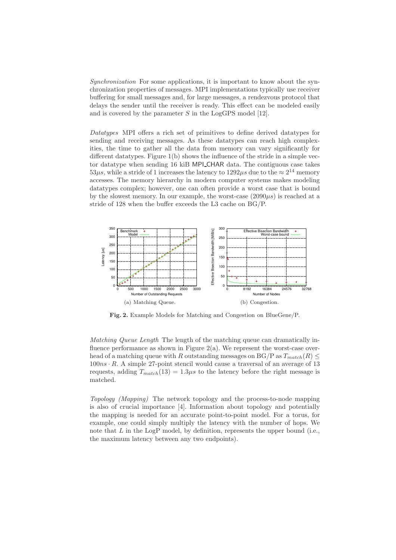Synchronization For some applications, it is important to know about the synchronization properties of messages. MPI implementations typically use receiver buffering for small messages and, for large messages, a rendezvous protocol that delays the sender until the receiver is ready. This effect can be modeled easily and is covered by the parameter S in the LogGPS model [12].

Datatypes MPI offers a rich set of primitives to define derived datatypes for sending and receiving messages. As these datatypes can reach high complexities, the time to gather all the data from memory can vary significantly for different datatypes. Figure 1(b) shows the influence of the stride in a simple vector datatype when sending 16 kiB MPI CHAR data. The contiguous case takes  $53\mu s$ , while a stride of 1 increases the latency to  $1292\mu s$  due to the  $\approx 2^{14}$  memory accesses. The memory hierarchy in modern computer systems makes modeling datatypes complex; however, one can often provide a worst case that is bound by the slowest memory. In our example, the worst-case  $(2090\mu s)$  is reached at a stride of 128 when the buffer exceeds the L3 cache on BG/P.



Fig. 2. Example Models for Matching and Congestion on BlueGene/P.

Matching Queue Length The length of the matching queue can dramatically influence performance as shown in Figure  $2(a)$ . We represent the worst-case overhead of a matching queue with R outstanding messages on BG/P as  $T_{match}(R) \leq$  $100ns \cdot R$ . A simple 27-point stencil would cause a traversal of an average of 13 requests, adding  $T_{match}(13) = 1.3 \mu s$  to the latency before the right message is matched.

Topology (Mapping) The network topology and the process-to-node mapping is also of crucial importance [4]. Information about topology and potentially the mapping is needed for an accurate point-to-point model. For a torus, for example, one could simply multiply the latency with the number of hops. We note that  $L$  in the LogP model, by definition, represents the upper bound (i.e., the maximum latency between any two endpoints).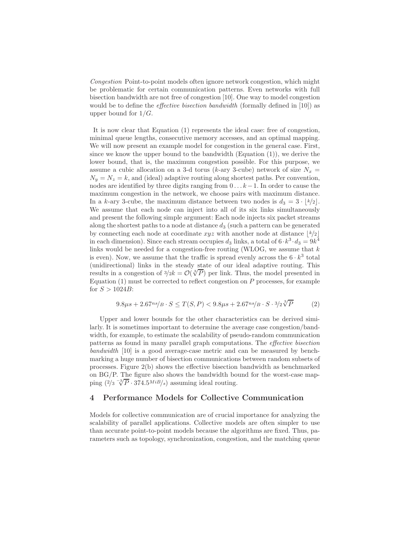Congestion Point-to-point models often ignore network congestion, which might be problematic for certain communication patterns. Even networks with full bisection bandwidth are not free of congestion [10]. One way to model congestion would be to define the *effective bisection bandwidth* (formally defined in [10]) as upper bound for  $1/G$ .

It is now clear that Equation (1) represents the ideal case: free of congestion, minimal queue lengths, consecutive memory accesses, and an optimal mapping. We will now present an example model for congestion in the general case. First, since we know the upper bound to the bandwidth (Equation  $(1)$ ), we derive the lower bound, that is, the maximum congestion possible. For this purpose, we assume a cubic allocation on a 3-d torus (k-ary 3-cube) network of size  $N_x =$  $N_y = N_z = k$ , and (ideal) adaptive routing along shortest paths. Per convention, nodes are identified by three digits ranging from  $0 \dots k-1$ . In order to cause the maximum congestion in the network, we choose pairs with maximum distance. In a k-ary 3-cube, the maximum distance between two nodes is  $d_3 = 3 \cdot |k/2|$ . We assume that each node can inject into all of its six links simultaneously and present the following simple argument: Each node injects six packet streams along the shortest paths to a node at distance  $d_3$  (such a pattern can be generated by connecting each node at coordinate  $xyz$  with another node at distance  $\lfloor k/2 \rfloor$ in each dimension). Since each stream occupies  $d_3$  links, a total of  $6 \cdot k^3 \cdot d_3 = 9k^4$ links would be needed for a congestion-free routing (WLOG, we assume that  $k$ is even). Now, we assume that the traffic is spread evenly across the  $6 \cdot k^3$  total (unidirectional) links in the steady state of our ideal adaptive routing. This results in a congestion of  $\sqrt[3]{2k} = \mathcal{O}(\sqrt[3]{P})$  per link. Thus, the model presented in Equation  $(1)$  must be corrected to reflect congestion on P processes, for example for  $S > 1024B$ :

$$
9.8\mu s + 2.67n s / B \cdot S \le T(S, P) < 9.8\mu s + 2.67n s / B \cdot S \cdot \frac{3}{2}\sqrt[3]{P} \tag{2}
$$

Upper and lower bounds for the other characteristics can be derived similarly. It is sometimes important to determine the average case congestion/bandwidth, for example, to estimate the scalability of pseudo-random communication patterns as found in many parallel graph computations. The effective bisection bandwidth [10] is a good average-case metric and can be measured by benchmarking a huge number of bisection communications between random subsets of processes. Figure 2(b) shows the effective bisection bandwidth as benchmarked on BG/P. The figure also shows the bandwidth bound for the worst-case mapping  $(2/3 \sqrt[3]{P} \cdot 374.5^{MiB/s})$  assuming ideal routing.

## 4 Performance Models for Collective Communication

Models for collective communication are of crucial importance for analyzing the scalability of parallel applications. Collective models are often simpler to use than accurate point-to-point models because the algorithms are fixed. Thus, parameters such as topology, synchronization, congestion, and the matching queue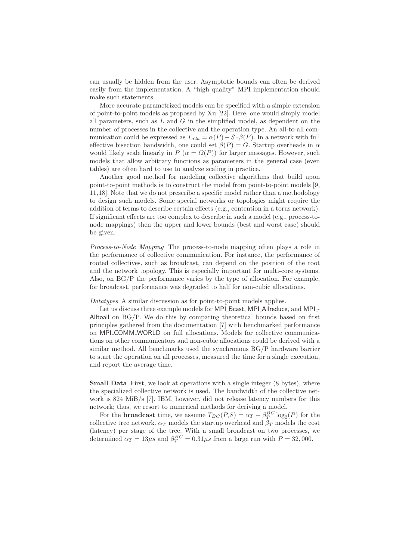can usually be hidden from the user. Asymptotic bounds can often be derived easily from the implementation. A "high quality" MPI implementation should make such statements.

More accurate parametrized models can be specified with a simple extension of point-to-point models as proposed by Xu [22]. Here, one would simply model all parameters, such as  $L$  and  $G$  in the simplified model, as dependent on the number of processes in the collective and the operation type. An all-to-all communication could be expressed as  $T_{a2a} = \alpha(P) + S \cdot \beta(P)$ . In a network with full effective bisection bandwidth, one could set  $\beta(P) = G$ . Startup overheads in  $\alpha$ would likely scale linearly in  $P(\alpha = \Omega(P))$  for larger messages. However, such models that allow arbitrary functions as parameters in the general case (even tables) are often hard to use to analyze scaling in practice.

Another good method for modeling collective algorithms that build upon point-to-point methods is to construct the model from point-to-point models [9, 11,18]. Note that we do not prescribe a specific model rather than a methodology to design such models. Some special networks or topologies might require the addition of terms to describe certain effects (e.g., contention in a torus network). If significant effects are too complex to describe in such a model (e.g., process-tonode mappings) then the upper and lower bounds (best and worst case) should be given.

Process-to-Node Mapping The process-to-node mapping often plays a role in the performance of collective communication. For instance, the performance of rooted collectives, such as broadcast, can depend on the position of the root and the network topology. This is especially important for multi-core systems. Also, on BG/P the performance varies by the type of allocation. For example, for broadcast, performance was degraded to half for non-cubic allocations.

Datatypes A similar discussion as for point-to-point models applies.

Let us discuss three example models for MPI<sub>-Bcast</sub>, MPI<sub>-Allreduce, and MPI<sub>-</sub></sub> Alltoall on BG/P. We do this by comparing theoretical bounds based on first principles gathered from the documentation [7] with benchmarked performance on MPI COMM WORLD on full allocations. Models for collective communications on other communicators and non-cubic allocations could be derived with a similar method. All benchmarks used the synchronous BG/P hardware barrier to start the operation on all processes, measured the time for a single execution, and report the average time.

Small Data First, we look at operations with a single integer  $(8 \text{ bytes})$ , where the specialized collective network is used. The bandwidth of the collective network is 824 MiB/s [7]. IBM, however, did not release latency numbers for this network; thus, we resort to numerical methods for deriving a model.

For the **broadcast** time, we assume  $T_{BC}(P, 8) = \alpha_T + \beta_T^{BC} \log_2(P)$  for the collective tree network.  $\alpha_T$  models the startup overhead and  $\beta_T$  models the cost (latency) per stage of the tree. With a small broadcast on two processes, we determined  $\alpha_T = 13\mu s$  and  $\beta_T^{BC} = 0.31\mu s$  from a large run with  $P = 32,000$ .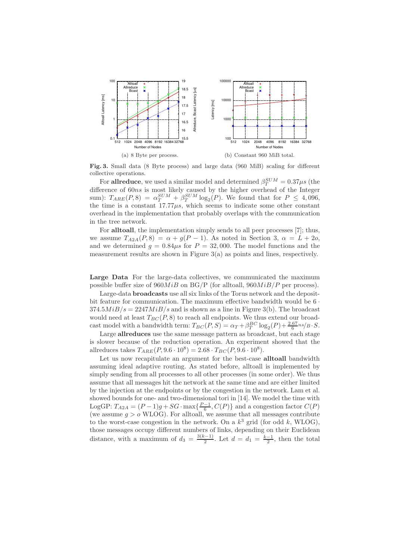

Fig. 3. Small data (8 Byte process) and large data (960 MiB) scaling for different collective operations.

For **allreduce**, we used a similar model and determined  $\beta_T^{SUM} = 0.37 \mu s$  (the difference of 60ns is most likely caused by the higher overhead of the Integer sum):  $T_{ARE}(P, 8) = \alpha_T^{SUM} + \beta_T^{SUM} \log_2(P)$ . We found that for  $P \leq 4,096$ , the time is a constant  $17.77\mu s$ , which seems to indicate some other constant overhead in the implementation that probably overlaps with the communication in the tree network.

For alltoall, the implementation simply sends to all peer processes [7]; thus, we assume  $T_{A2A}(P, 8) = \alpha + g(P - 1)$ . As noted in Section 3,  $\alpha = L + 2\alpha$ , and we determined  $g = 0.84 \mu s$  for  $P = 32,000$ . The model functions and the measurement results are shown in Figure 3(a) as points and lines, respectively.

Large Data For the large-data collectives, we communicated the maximum possible buffer size of  $960MiB$  on BG/P (for alltoall,  $960MiB/P$  per process).

Large-data broadcasts use all six links of the Torus network and the depositbit feature for communication. The maximum effective bandwidth would be  $6 \cdot$  $374.5MiB/s = 2247MiB/s$  and is shown as a line in Figure 3(b). The broadcast would need at least  $T_{BC}(P, 8)$  to reach all endpoints. We thus extend our broadcast model with a bandwidth term:  $T_{BC}(P, S) = \alpha_T + \beta_T^{BC} \log_2(P) + \frac{2.67}{6} n s / B \cdot S$ .

Large allreduces use the same message pattern as broadcast, but each stage is slower because of the reduction operation. An experiment showed that the allreduces takes  $T_{ARE}(P, 9.6 \cdot 10^8) = 2.68 \cdot T_{BC}(P, 9.6 \cdot 10^8)$ .

Let us now recapitulate an argument for the best-case **alltoall** bandwidth assuming ideal adaptive routing. As stated before, alltoall is implemented by simply sending from all processes to all other processes (in some order). We thus assume that all messages hit the network at the same time and are either limited by the injection at the endpoints or by the congestion in the network. Lam et al. showed bounds for one- and two-dimensional tori in [14]. We model the time with LogGP:  $T_{A2A} = (P-1)g + SG \cdot \max\{\frac{P-1}{6}, C(P)\}\$  and a congestion factor  $C(P)$ (we assume  $g > o$  WLOG). For alltoall, we assume that all messages contribute to the worst-case congestion in the network. On a  $k^3$  grid (for odd k, WLOG), those messages occupy different numbers of links, depending on their Euclidean distance, with a maximum of  $d_3 = \frac{3(k-1)}{2}$ . Let  $d = d_1 = \frac{k-1}{2}$ , then the total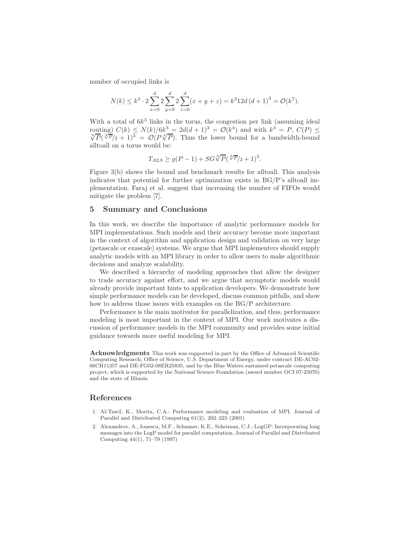number of occupied links is

$$
N(k) \le k^3 \cdot 2 \sum_{x=0}^d 2 \sum_{y=0}^d 2 \sum_{z=0}^d (x+y+z) = k^3 12d (d+1)^3 = \mathcal{O}(k^7).
$$

With a total of  $6k^3$  links in the torus, the congestion per link (assuming ideal routing)  $C(k) \le N(k)/6k^3 = 2d(d+1)^3 = \mathcal{O}(k^4)$  and with  $k^3 = P$ ,  $C(P) \le$  $\sqrt[3]{P}(\sqrt[3]{P}/2+1)^3 = \mathcal{O}(P\sqrt[3]{P})$ . Thus the lower bound for a bandwidth-bound alltoall on a torus would be:

$$
T_{A2A} \ge g(P-1) + SG \sqrt[3]{P} (\sqrt[3]{P}/2 + 1)^3.
$$

Figure 3(b) shows the bound and benchmark results for alltoall. This analysis indicates that potential for further optimization exists in  $BG/P$ 's alltoall implementation. Faraj et al. suggest that increasing the number of FIFOs would mitigate the problem [7].

## 5 Summary and Conclusions

In this work, we describe the importance of analytic performance models for MPI implementations. Such models and their accuracy become more important in the context of algorithm and application design and validation on very large (petascale or exascale) systems. We argue that MPI implementers should supply analytic models with an MPI library in order to allow users to make algorithmic decisions and analyze scalability.

We described a hierarchy of modeling approaches that allow the designer to trade accuracy against effort, and we argue that asymptotic models would already provide important hints to application developers. We demonstrate how simple performance models can be developed, discuss common pitfalls, and show how to address those issues with examples on the BG/P architecture.

Performance is the main motivator for parallelization, and thus, performance modeling is most important in the context of MPI. Our work motivates a discussion of performance models in the MPI community and provides some initial guidance towards more useful modeling for MPI.

Acknowledgments This work was supported in part by the Office of Advanced Scientific Computing Research, Office of Science, U.S. Department of Energy, under contract DE-AC02- 06CH11357 and DE-FG02-08ER25835, and by the Blue Waters sustained-petascale computing project, which is supported by the National Science Foundation (award number OCI 07-25070) and the state of Illinois.

#### References

- 1. Al-Tawil, K., Moritz, C.A.: Performance modeling and evaluation of MPI. Journal of Parallel and Distributed Computing 61(2), 202–223 (2001)
- 2. Alexandrov, A., Ionescu, M.F., Schauser, K.E., Scheiman, C.J.: LogGP: Incorporating long messages into the LogP model for parallel computation. Journal of Parallel and Distributed Computing 44(1), 71–79 (1997)